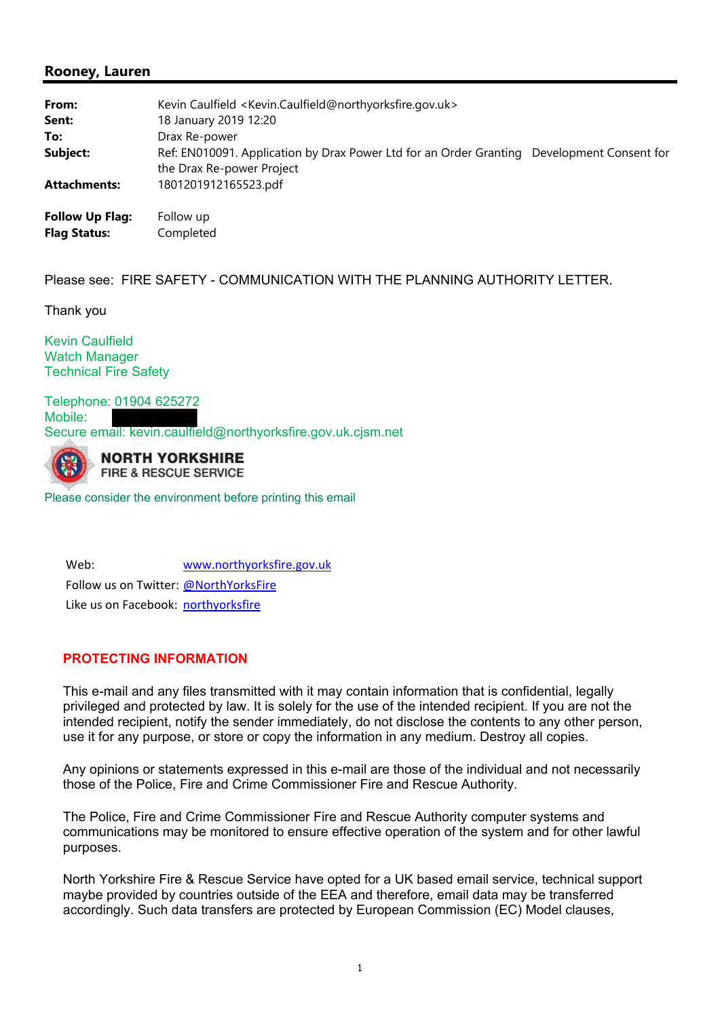# **Rooney, Lauren**

| From:<br>Sent:<br>To:                         | Kevin Caulfield <kevin.caulfield@northyorksfire.gov.uk><br/>18 January 2019 12:20<br/>Drax Re-power</kevin.caulfield@northyorksfire.gov.uk> |  |
|-----------------------------------------------|---------------------------------------------------------------------------------------------------------------------------------------------|--|
| Subject:                                      | Ref: EN010091. Application by Drax Power Ltd for an Order Granting Development Consent for                                                  |  |
| <b>Attachments:</b>                           | the Drax Re-power Project<br>1801201912165523.pdf                                                                                           |  |
| <b>Follow Up Flag:</b><br><b>Flag Status:</b> | Follow up<br>Completed                                                                                                                      |  |

Please see: FIRE SAFETY - COMMUNICATION WITH THE PLANNING AUTHORITY LETTER.

Thank you

Kevin Caulfield Watch Manager Technical Fire Safety

Telephone: 01904 625272 Mobile: Secure email: kevin.caulfield@northyorksfire.gov.uk.cjsm.net



**NORTH YORKSHIRE** FIRE & RESCUE SERVICE

Please consider the environment before printing this email

Web: www.northyorksfire.gov.uk Follow us on Twitter: @NorthYorksFire Like us on Facebook: northyorksfire

### **PROTECTING INFORMATION**

This e-mail and any files transmitted with it may contain information that is confidential, legally privileged and protected by law. It is solely for the use of the intended recipient. If you are not the intended recipient, notify the sender immediately, do not disclose the contents to any other person, use it for any purpose, or store or copy the information in any medium. Destroy all copies.

Any opinions or statements expressed in this e-mail are those of the individual and not necessarily those of the Police, Fire and Crime Commissioner Fire and Rescue Authority.

The Police, Fire and Crime Commissioner Fire and Rescue Authority computer systems and communications may be monitored to ensure effective operation of the system and for other lawful purposes.

North Yorkshire Fire & Rescue Service have opted for a UK based email service, technical support maybe provided by countries outside of the EEA and therefore, email data may be transferred accordingly. Such data transfers are protected by European Commission (EC) Model clauses,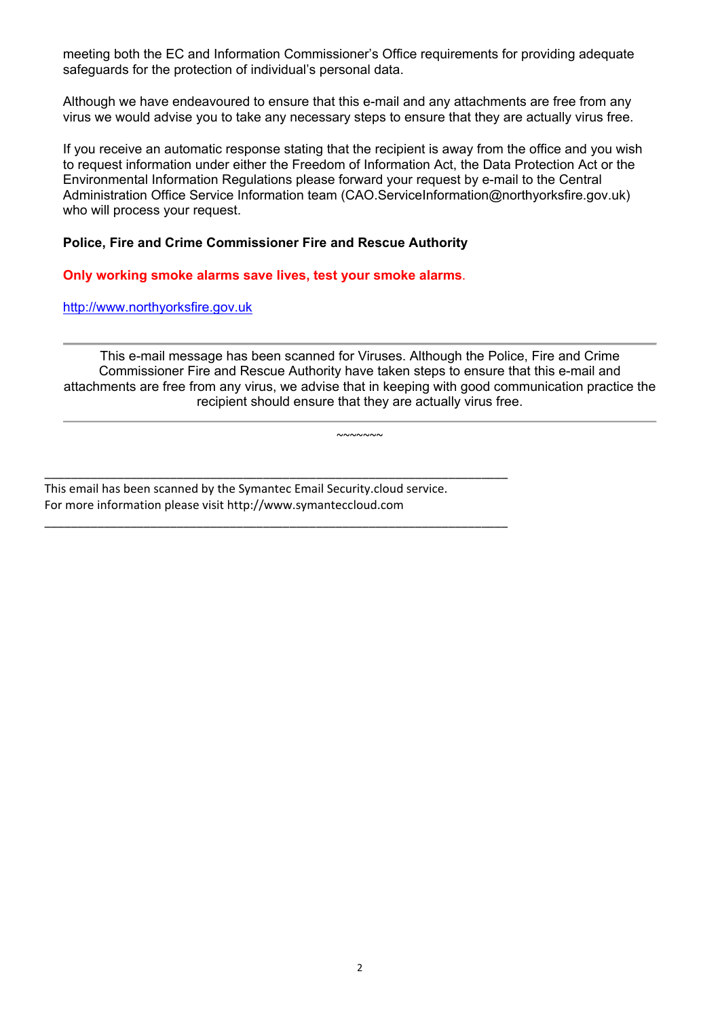meeting both the EC and Information Commissioner's Office requirements for providing adequate safeguards for the protection of individual's personal data.

Although we have endeavoured to ensure that this e-mail and any attachments are free from any virus we would advise you to take any necessary steps to ensure that they are actually virus free.

If you receive an automatic response stating that the recipient is away from the office and you wish to request information under either the Freedom of Information Act, the Data Protection Act or the Environmental Information Regulations please forward your request by e-mail to the Central Administration Office Service Information team (CAO.ServiceInformation@northyorksfire.gov.uk) who will process your request.

### **Police, Fire and Crime Commissioner Fire and Rescue Authority**

**Only working smoke alarms save lives, test your smoke alarms**.

http://www.northyorksfire.gov.uk

This e-mail message has been scanned for Viruses. Although the Police, Fire and Crime Commissioner Fire and Rescue Authority have taken steps to ensure that this e-mail and attachments are free from any virus, we advise that in keeping with good communication practice the recipient should ensure that they are actually virus free.

 $~\sim\sim\sim\sim\sim\sim\sim$ 

This email has been scanned by the Symantec Email Security.cloud service. For more information please visit http://www.symanteccloud.com

\_\_\_\_\_\_\_\_\_\_\_\_\_\_\_\_\_\_\_\_\_\_\_\_\_\_\_\_\_\_\_\_\_\_\_\_\_\_\_\_\_\_\_\_\_\_\_\_\_\_\_\_\_\_\_\_\_\_\_\_\_\_\_\_\_\_\_\_\_\_

\_\_\_\_\_\_\_\_\_\_\_\_\_\_\_\_\_\_\_\_\_\_\_\_\_\_\_\_\_\_\_\_\_\_\_\_\_\_\_\_\_\_\_\_\_\_\_\_\_\_\_\_\_\_\_\_\_\_\_\_\_\_\_\_\_\_\_\_\_\_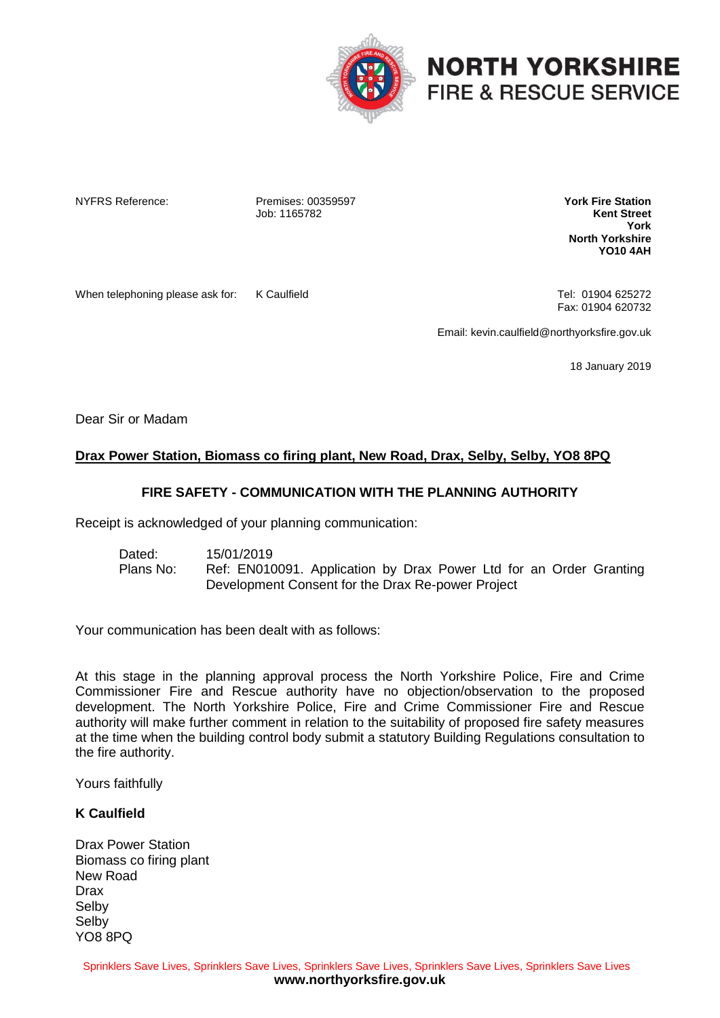

# **NORTH YORKSHIRE FIRE & RESCUE SERVICE**

NYFRS Reference: Premises: 00359597 Job: 1165782

**York Fire Station Kent Street York North Yorkshire YO10 4AH**

When telephoning please ask for: K Caulfield Tel: 01904 625272

Fax: 01904 620732

Email: kevin.caulfield@northyorksfire.gov.uk

18 January 2019

Dear Sir or Madam

## **Drax Power Station, Biomass co firing plant, New Road, Drax, Selby, Selby, YO8 8PQ**

## **FIRE SAFETY - COMMUNICATION WITH THE PLANNING AUTHORITY**

Receipt is acknowledged of your planning communication:

Dated: 15/01/2019 Plans No: Ref: EN010091. Application by Drax Power Ltd for an Order Granting Development Consent for the Drax Re-power Project

Your communication has been dealt with as follows:

At this stage in the planning approval process the North Yorkshire Police, Fire and Crime Commissioner Fire and Rescue authority have no objection/observation to the proposed development. The North Yorkshire Police, Fire and Crime Commissioner Fire and Rescue authority will make further comment in relation to the suitability of proposed fire safety measures at the time when the building control body submit a statutory Building Regulations consultation to the fire authority.

Yours faithfully

#### **K Caulfield**

Drax Power Station Biomass co firing plant New Road Drax Selby Selby YO8 8PQ